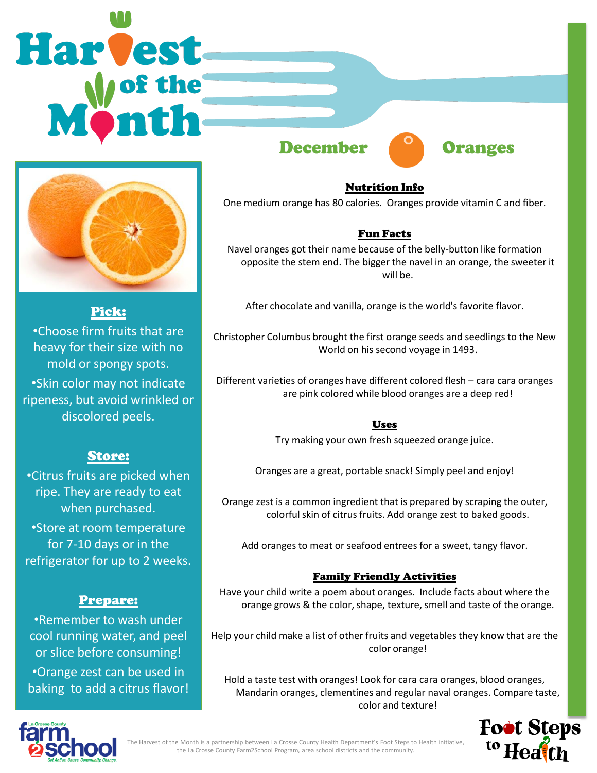# Harvest



# Pick:

•Choose firm fruits that are heavy for their size with no mold or spongy spots. •Skin color may not indicate ripeness, but avoid wrinkled or discolored peels.

# Store:

•Citrus fruits are picked when ripe. They are ready to eat when purchased. •Store at room temperature for 7-10 days or in the

refrigerator for up to 2 weeks.

# Prepare:

•Remember to wash under cool running water, and peel or slice before consuming! •Orange zest can be used in baking to add a citrus flavor! December **Oranges** 



### Nutrition Info

One medium orange has 80 calories. Oranges provide vitamin C and fiber.

# Fun Facts

Navel oranges got their name because of the belly-button like formation opposite the stem end. The bigger the navel in an orange, the sweeter it will be.

After chocolate and vanilla, orange is the world's favorite flavor.

Christopher Columbus brought the first orange seeds and seedlings to the New World on his second voyage in 1493.

Different varieties of oranges have different colored flesh – cara cara oranges are pink colored while blood oranges are a deep red!

## Uses

Try making your own fresh squeezed orange juice.

Oranges are a great, portable snack! Simply peel and enjoy!

Orange zest is a common ingredient that is prepared by scraping the outer, colorful skin of citrus fruits. Add orange zest to baked goods.

Add oranges to meat or seafood entrees for a sweet, tangy flavor.

## Family Friendly Activities

Have your child write a poem about oranges. Include facts about where the orange grows & the color, shape, texture, smell and taste of the orange.

Help your child make a list of other fruits and vegetables they know that are the color orange!

Hold a taste test with oranges! Look for cara cara oranges, blood oranges, Mandarin oranges, clementines and regular naval oranges. Compare taste, color and texture!